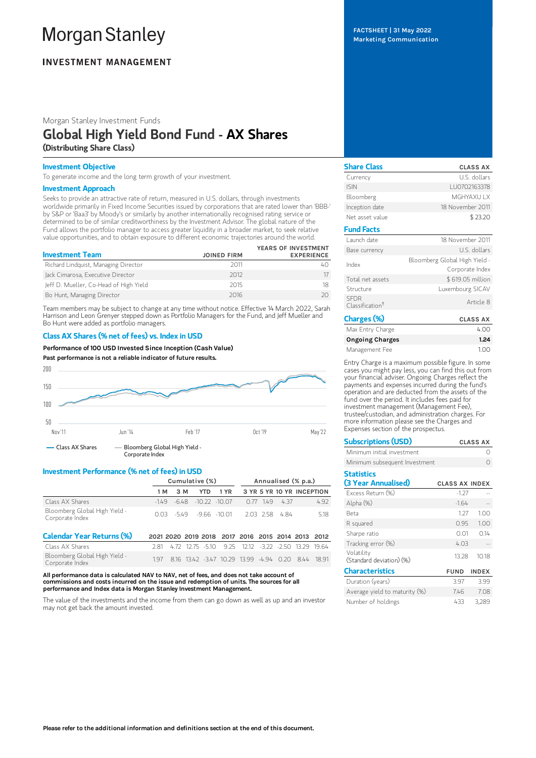# **Morgan Stanley**

## **INVESTMENT MANAGEMENT**

Morgan Stanley Investment Funds

# Global High Yield Bond Fund - AX Shares (Distributing Share Class)

#### Investment Objective

To generate income and the long term growth of your investment.

#### Investment Approach

Seeks to provide an attractive rate of return, measured in U.S. dollars, through investments worldwide primarily in Fixed Income Securities issued by corporations that are rated lower than 'BBB-' by S&P or 'Baa3' by Moody's or similarly by another internationally recognised rating service or determined to be of similar creditworthiness by the Investment Advisor. The global nature of the Fund allows the portfolio manager to access greater liquidity in a broader market, to seek relative value opportunities, and to obtain exposure to different economic trajectories around the world.

| <b>Investment Team</b>                 | <b>JOINED FIRM</b> | YEARS OF INVESTMENT<br><b>EXPERIENCE</b> |
|----------------------------------------|--------------------|------------------------------------------|
| Richard Lindquist, Managing Director   | 2011               |                                          |
| Jack Cimarosa, Executive Director      | 2012               |                                          |
| Jeff D. Mueller, Co-Head of High Yield | 2015               |                                          |
| Bo Hunt, Managing Director             | 2016               |                                          |

Team members may be subject to change at any time without notice. Effective 14 March 2022, Sarah Harrison and Leon Grenyer stepped down as Portfolio Managers for the Fund, and Jeff Mueller and Bo Hunt were added as portfolio managers.

#### Class AX Shares (% net of fees) vs. Index in USD

Performance of 100 USD Invested Since Inception (Cash Value)

Past performance is not a reliable indicator of future results.



#### Investment Performance (% net of fees) in USD

|                                                  | Cumulative (%) |       |                                                   | Annualised (% p.a.) |                            |           |                           |     |       |
|--------------------------------------------------|----------------|-------|---------------------------------------------------|---------------------|----------------------------|-----------|---------------------------|-----|-------|
|                                                  | 1 M            | 3 M   | <b>YTD</b>                                        | 1 YR                |                            |           | 3 YR 5 YR 10 YR INCEPTION |     |       |
| Class AX Shares                                  | $-149$         | -6.48 | $-10.22 - 10.07$                                  |                     | 0.77                       | 149       | 4.37                      |     | 4.92  |
| Bloomberg Global High Yield -<br>Corporate Index | O 03           |       | $-549 - 966 - 10.01$                              |                     |                            | 2.03 2.58 | 484                       |     | 5.18  |
| <b>Calendar Year Returns (%)</b>                 |                |       | 2021 2020 2019 2018 2017 2016 2015 2014 2013 2012 |                     |                            |           |                           |     |       |
| Class AX Shares                                  | 281            | 4.72  | 1275 - 510                                        |                     | 925 1212 322 350 1329 1964 |           |                           |     |       |
| Bloomberg Global High Yield -<br>Corporate Index | 197            |       | 8.16 13.42 -3.47 10.29 13.99 -4.94 0.20           |                     |                            |           |                           | 844 | 18 91 |

All performance data is calculated NAV to NAV, net of fees, and does not take account of commissions and costs incurred on the issue and redemption of units. The sources for all performance and Index data is Morgan Stanley Investment Management.

The value of the investments and the income from them can go down as well as up and an investor may not get back the amount invested.

FACTSHEET | 31 May 2022 Marketing Communication

| <b>Share Class</b>                         | <b>CLASS AX</b>                                  |
|--------------------------------------------|--------------------------------------------------|
| Currency                                   | U.S. dollars                                     |
| <b>ISIN</b>                                | LU0702163378                                     |
| Bloomberg                                  | MGHYAXU I X                                      |
| Inception date                             | 18 November 2011                                 |
| Net asset value                            | \$23.20                                          |
| <b>Fund Facts</b>                          |                                                  |
| Launch date                                | 18 November 2011                                 |
| Base currency                              | U.S. dollars                                     |
| Index                                      | Bloomberg Global High Yield -<br>Corporate Index |
| Total net assets                           | \$619.05 million                                 |
| Structure                                  | Luxembourg SICAV                                 |
| <b>SFDR</b><br>Classification <sup>+</sup> | Article 8                                        |
| Charges (%)                                | <b>CLASS AX</b>                                  |

| Max Entry Charge       | 4.00 |
|------------------------|------|
| <b>Ongoing Charges</b> | 1.24 |
| Management Fee         | 100  |

Entry Charge is a maximum possible figure. In some cases you might pay less, you can find this out from your financial adviser. Ongoing Charges reflect the payments and expenses incurred during the fund's operation and are deducted from the assets of the fund over the period. It includes fees paid for investment management (Management Fee), trustee/custodian, and administration charges. For more information please see the Charges and Expenses section of the prospectus.

| <b>Subscriptions (USD)</b>               |                       | <b>CLASS AX</b> |
|------------------------------------------|-----------------------|-----------------|
| Minimum initial investment               |                       |                 |
| Minimum subsequent Investment            |                       |                 |
| <b>Statistics</b><br>(3 Year Annualised) | <b>CLASS AX INDEX</b> |                 |
| Excess Return (%)                        | $-127$                |                 |
| Alpha (%)                                | $-1.64$               |                 |
| <b>Beta</b>                              | 1 27                  | 1.00            |
| R squared                                | 0.95                  | 1.00            |
| Sharpe ratio                             |                       | 0.14            |

| Tracking error (%)                     | 403         |              |
|----------------------------------------|-------------|--------------|
| Volatility<br>(Standard deviation) (%) | 13.28       | 10.18        |
| <b>Characteristics</b>                 | <b>FUND</b> | <b>INDEX</b> |
| Duration (years)                       | 397         | 399          |
| Average yield to maturity (%)          | 746         | 7.08         |
| Number of holdings                     | 433         | 3.289        |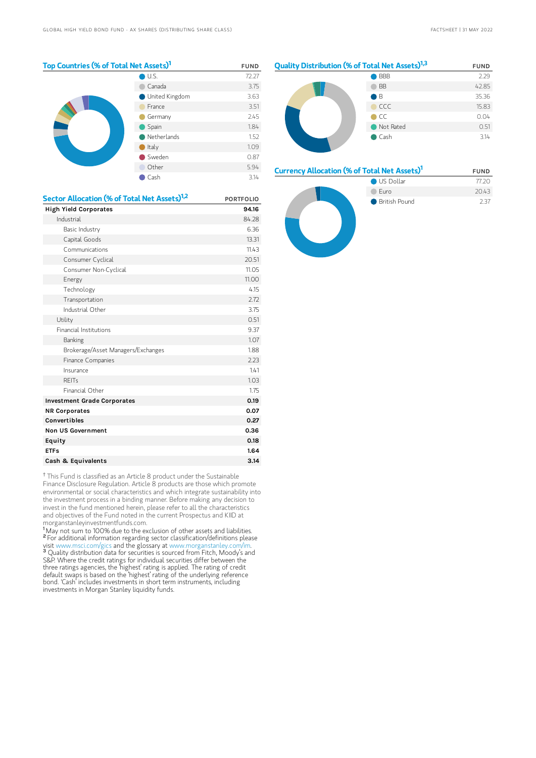US Dollar 77.20 Euro 20.43 ● British Pound 2.37

| Top Countries (% of Total Net Assets) <sup>1</sup> | <b>FUND</b>    |       |
|----------------------------------------------------|----------------|-------|
|                                                    | U.S.           | 72.27 |
|                                                    | Canada         | 3.75  |
|                                                    | United Kingdom | 3.63  |
|                                                    | France         | 3.51  |
|                                                    | Germany        | 2.45  |
|                                                    | Spain          | 1.84  |
|                                                    | Netherlands    | 1.52  |
|                                                    | Italy          | 1.09  |
|                                                    | Sweden         | 0.87  |
|                                                    | Other          | 5.94  |
|                                                    | Cash           | 3.14  |



#### Currency Allocation (% of Total Net Assets)<sup>1</sup> FUND



<sup>†</sup> This Fund is classified as an Article 8 product under the Sustainable Finance Disclosure Regulation. Article 8 products are those which promote environmental or social characteristics and which integrate sustainability into the investment process in a binding manner. Before making any decision to invest in the fund mentioned herein, please refer to all the characteristics and objectives of the Fund noted in the current Prospectus and KIID at morganstanleyinvestmentfunds.com.

<sup>1</sup>May not sum to 100% due to the exclusion of other assets and liabilities. <sup>2</sup> For additional information regarding sector classification/definitions please visit www.msci.com/gics and the glossary at www.morganstanley.com/im. <sup>3</sup> Quality distribution data for securities is sourced from Fitch, Moody's and S&P. Where the credit ratings for individual securities differ between the three ratings agencies, the 'highest' rating is applied. The rating of credit default swaps is based on the 'highest' rating of the underlying reference bond. 'Cash' includes investments in short term instruments, including investments in Morgan Stanley liquidity funds.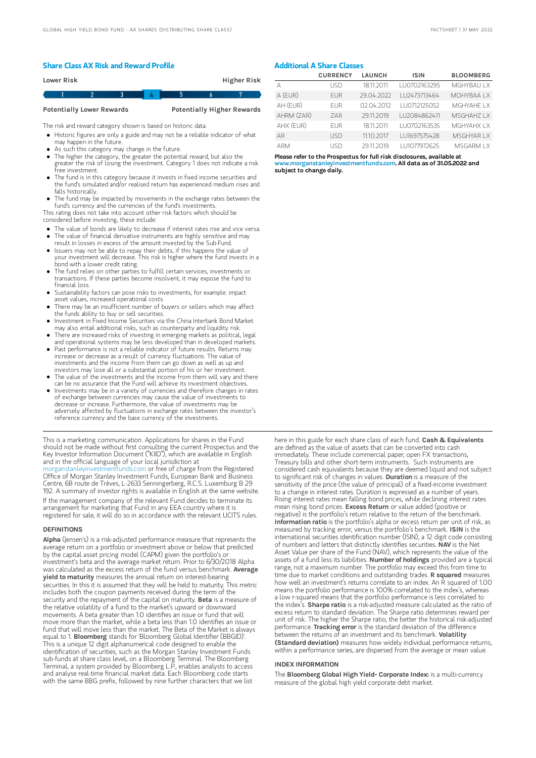#### Share Class AX Risk and Reward Profile

| Lower Risk |  |  | Higher Risk |  |
|------------|--|--|-------------|--|
|            |  |  |             |  |
|            |  |  |             |  |

Potentially Lower Rewards Potentially Higher Rewards

The risk and reward category shown is based on historic data.

Historic figures are only a guide and may not be a reliable indicator of what may happen in the future.

- As such this category may change in the future.
- The higher the category, the greater the potential reward, but also the greater the risk of losing the investment. Category 1 does not indicate a risk free investment.
- The fund is in this category because it invests in fixed income securities and the fund's simulated and/or realised return has experienced medium rises and falls historically.
- The fund may be impacted by movements in the exchange rates between the fund's currency and the currencies of the fund's investments.

This rating does not take into account other risk factors which should be considered before investing, these include:

- The value of bonds are likely to decrease if interest rates rise and vice versa.
- The value of financial derivative instruments are highly sensitive and may result in losses in excess of the amount invested by the Sub-Fund.
- Issuers may not be able to repay their debts, if this happens the value of your investment will decrease. This risk is higher where the fund invests in a bond with a lower credit rating.
- The fund relies on other parties to fulfill certain services, investments or transactions. If these parties become insolvent, it may expose the fund to financial loss.
- Sustainability factors can pose risks to investments, for example: impact asset values, increased operational costs.
- There may be an insufficient number of buyers or sellers which may affect the funds ability to buy or sell securities.
- Investment in Fixed Income Securities via the China Interbank Bond Market may also entail additional risks, such as counterparty and liquidity risk.
- There are increased risks of investing in emerging markets as political, legal and operational systems may be less developed than in developed markets. Past performance is not a reliable indicator of future results. Returns may
- increase or decrease as a result of currency fluctuations. The value of investments and the income from them can go down as well as up and investors may lose all or a substantial portion of his or her investment.
- The value of the investments and the income from them will vary and there can be no assurance that the Fund will achieve its investment objectives.
- $\bullet$ Investments may be in a variety of currencies and therefore changes in rates of exchange between currencies may cause the value of investments to decrease or increase. Furthermore, the value of investments may be adversely affected by fluctuations in exchange rates between the investor's reference currency and the base currency of the investments.

This is a marketing communication. Applications for shares in the Fund should not be made without first consulting the current Prospectus and the Key Investor Information Document ("KIID"), which are available in English and in the official language of your local jurisdiction at<br>morganstanleyinvestmentfunds.com or free of charge from the Registered [morganstanleyinvestmentfunds.com](https://www.morganstanley.com/im/msinvf/index.html) or free of charge from the Registered Office of Morgan Stanley Investment Funds, European Bank and Business Centre, 6B route de Trèves, L-2633 Senningerberg, R.C.S. Luxemburg B 29 192. A summary of investor rights is available in English at the same website. If the management company of the relevant Fund decides to terminate its arrangement for marketing that Fund in any EEA country where it is

registered for sale, it will do so in accordance with the relevant UCITS rules.

#### **DEFINITIONS**

Alpha (Jensen's) is a risk-adjusted performance measure that represents the average return on a portfolio or investment above or below that predicted by the capital asset pricing model (CAPM) given the portfolio's or investment's beta and the average market return. Prior to 6/30/2018 Alpha was calculated as the excess return of the fund versus benchmark. Average **yield to maturity** measures the annual return on interest-bearing securities. In this it is assumed that they will be held to maturity. This metric includes both the coupon payments received during the term of the<br>security and the repayment of the capital on maturity. **Beta** is a measure of the relative volatility of a fund to the market's upward or downward movements. A beta greater than 1.0 identifies an issue or fund that will move more than the market, while a beta less than 1.0 identifies an issue or fund that will move less than the market. The Beta of the Market is always equal to 1. Bloomberg stands for 'Bloomberg Global Identifier (BBGID)'. This is a unique 12 digit alphanumerical code designed to enable the identification of securities, such as the Morgan Stanley Investment Funds sub-funds at share class level, on a Bloomberg Terminal. The Bloomberg Terminal, a system provided by Bloomberg L.P., enables analysts to access and analyse real-time financial market data. Each Bloomberg code starts with the same BBG prefix, followed by nine further characters that we list

### Additional A Share Classes

|            | <b>CURRENCY</b> | <b>LAUNCH</b> | <b>ISIN</b>  | <b>BLOOMBERG</b> |
|------------|-----------------|---------------|--------------|------------------|
|            | LISD            | 18.11.2011    | LU0702163295 | MGHYBAU IX       |
| A (EUR)    | <b>FUR</b>      | 29.04.2022    | LU2473713464 | MOHYBAA I X      |
| AH (EUR)   | <b>FUR</b>      | 02.04.2012    | LU0712125052 | MGHYAHF I X      |
| AHRM (ZAR) | 7AR             | 29.11.2019    | LU2084862411 | MSGHAHZ I X      |
| AHX (EUR)  | <b>FUR</b>      | 18 11 2011    | LU0702163535 | MGHYAHX LX       |
| AR         | LISD            | 11.10.2017    | LU1697575428 | MSGHYAR I X      |
| <b>ARM</b> | LISD            | 29112019      | LU1077972625 | MSGARM I X       |

Please refer to the Prospectus for full risk disclosures, available at www.morganstanleyinvestmentfunds.com. All data as of 31.05.2022 and subject to change daily.

here in this guide for each share class of each fund. Cash & Equivalents are defined as the value of assets that can be converted into cash immediately. These include commercial paper, open FX transactions, Treasury bills and other short-term instruments. Such instruments are considered cash equivalents because they are deemed liquid and not subject to significant risk of changes in values. Duration is a measure of the sensitivity of the price (the value of principal) of a fixed-income investment to a change in interest rates. Duration is expressed as a number of years. Rising interest rates mean falling bond prices, while declining interest rates mean rising bond prices. Excess Return or value added (positive or negative) is the portfolio's return relative to the return of the benchmark. Information ratio is the portfolio's alpha or excess return per unit of risk, as measured by tracking error, versus the portfolio's benchmark. ISIN is the international securities identification number (ISIN), a 12 digit code consisting of numbers and letters that distinctly identifies securities. NAV is the Net Asset Value per share of the Fund (NAV), which represents the value of the assets of a fund less its liabilities. Number of holdings provided are a typical range, not a maximum number. The portfolio may exceed this from time to time due to market conditions and outstanding trades. R squared measures how well an investment's returns correlate to an index. An R squared of 1.00 means the portfolio performance is 100% correlated to the index's, whereas a low r-squared means that the portfolio performance is less correlated to<br>the index's. **Sharpe ratio** is a risk-adjusted measure calculated as the ratio of excess return to standard deviation. The Sharpe ratio determines reward per unit of risk. The higher the Sharpe ratio, the better the historical risk-adjusted<br>performance. **Tracking error** is the standard deviation of the difference between the returns of an investment and its benchmark. Volatility (Standard deviation) measures how widely individual performance returns, within a performance series, are dispersed from the average or mean value.

#### INDEX INFORMATION

The Bloomberg Global High Yield- Corporate Index: is a multi-currency measure of the global high yield corporate debt market.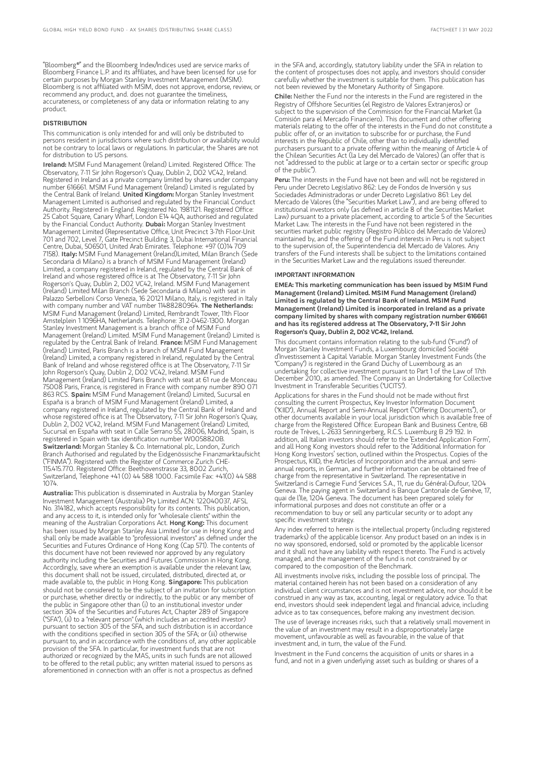"Bloomberg®" and the Bloomberg Index/Indices used are service marks of Bloomberg Finance L.P. and its affiliates, and have been licensed for use for certain purposes by Morgan Stanley Investment Management (MSIM). Bloomberg is not affiliated with MSIM, does not approve, endorse, review, or recommend any product, and. does not guarantee the timeliness, accurateness, or completeness of any data or information relating to any product.

#### DISTRIBUTION

This communication is only intended for and will only be distributed to persons resident in jurisdictions where such distribution or availability would not be contrary to local laws or regulations. In particular, the Shares are not for distribution to US persons.

Ireland: MSIM Fund Management (Ireland) Limited. Registered Office: The Observatory, 7-11 Sir John Rogerson's Quay, Dublin 2, D02 VC42, Ireland. Registered in Ireland as a private company limited by shares under company number 616661. MSIM Fund Management (Ireland) Limited is regulated by the Central Bank of Ireland. United Kingdom: Morgan Stanley Investment Management Limited is authorised and regulated by the Financial Conduct Authority. Registered in England. Registered No. 1981121. Registered Office: 25 Cabot Square, Canary Wharf, London E14 4QA, authorised and regulated by the Financial Conduct Authority. Dubai: Morgan Stanley Investment Management Limited (Representative Office, Unit Precinct 3-7th Floor-Unit 701 and 702, Level 7, Gate Precinct Building 3, Dubai International Financial Centre, Dubai, 506501, United Arab Emirates. Telephone: +97 (0)14 709 7158). Italy: MSIM Fund Management (Ireland)Limited, Milan Branch (Sede Secondaria di Milano) is a branch of MSIM Fund Management (Ireland) Limited, a company registered in Ireland, regulated by the Central Bank of Ireland and whose registered office is at The Observatory, 7-11 Sir John Rogerson's Quay, Dublin 2, D02 VC42, Ireland. MSIM Fund Management (Ireland) Limited Milan Branch (Sede Secondaria di Milano) with seat in Palazzo Serbelloni Corso Venezia, 16 20121 Milano, Italy, is registered in Italy<br>with company number and VAT number 11488280964. **The Netherlands:** MSIM Fund Management (Ireland) Limited, Rembrandt Tower, 11th Floor Amstelplein 1 1096HA, Netherlands. Telephone: 31 2-0462-1300. Morgan Stanley Investment Management is a branch office of MSIM Fund Management (Ireland) Limited. MSIM Fund Management (Ireland) Limited is regulated by the Central Bank of Ireland. France: MSIM Fund Management (Ireland) Limited, Paris Branch is a branch of MSIM Fund Management (Ireland) Limited, a company registered in Ireland, regulated by the Central Bank of Ireland and whose registered office is at The Observatory, 7-11 Sir John Rogerson's Quay, Dublin 2, D02 VC42, Ireland. MSIM Fund Management (Ireland) Limited Paris Branch with seat at 61 rue de Monceau 75008 Paris, France, is registered in France with company number 890 071 863 RCS. Spain: MSIM Fund Management (Ireland) Limited, Sucursal en España is a branch of MSIM Fund Management (Ireland) Limited, a company registered in Ireland, regulated by the Central Bank of Ireland and whose registered office is at The Observatory, 7-11 Sir John Rogerson's Quay, Dublin 2, D02 VC42, Ireland. MSIM Fund Management (Ireland) Limited, Sucursal en España with seat in Calle Serrano 55, 28006, Madrid, Spain, is registered in Spain with tax identification number W0058820B. Switzerland: Morgan Stanley & Co. International plc, London, Zurich Branch Authorised and regulated by the Eidgenössische Finanzmarktaufsicht ("FINMA"). Registered with the Register of Commerce Zurich CHE-115.415.770. Registered Office: Beethovenstrasse 33, 8002 Zurich, Switzerland, Telephone +41 (0) 44 588 1000. Facsimile Fax: +41(0) 44 588 1074.

Australia: This publication is disseminated in Australia by Morgan Stanley Investment Management (Australia) Pty Limited ACN: 122040037, AFSL No. 314182, which accepts responsibility for its contents. This publication, and any access to it, is intended only for "wholesale clients" within the meaning of the Australian Corporations Act. **Hong Kong:** This document has been issued by Morgan Stanley Asia Limited for use in Hong Kong and shall only be made available to "professional investors" as defined under the Securities and Futures Ordinance of Hong Kong (Cap 571). The contents of this document have not been reviewed nor approved by any regulatory authority including the Securities and Futures Commission in Hong Kong. Accordingly, save where an exemption is available under the relevant law, this document shall not be issued, circulated, distributed, directed at, or made available to, the public in Hong Kong. Singapore: This publication should not be considered to be the subject of an invitation for subscription or purchase, whether directly or indirectly, to the public or any member of the public in Singapore other than (i) to an institutional investor under section 304 of the Securities and Futures Act, Chapter 289 of Singapore ("SFA"), (ii) to a "relevant person" (which includes an accredited investor) pursuant to section 305 of the SFA, and such distribution is in accordance with the conditions specified in section 305 of the SFA; or (iii) otherwise pursuant to, and in accordance with the conditions of, any other applicable provision of the SFA. In particular, for investment funds that are not authorized or recognized by the MAS, units in such funds are not allowed to be offered to the retail public; any written material issued to persons as aforementioned in connection with an offer is not a prospectus as defined

in the SFA and, accordingly, statutory liability under the SFA in relation to the content of prospectuses does not apply, and investors should consider carefully whether the investment is suitable for them. This publication has not been reviewed by the Monetary Authority of Singapore.

Chile: Neither the Fund nor the interests in the Fund are registered in the Registry of Offshore Securities (el Registro de Valores Extranjeros) or subject to the supervision of the Commission for the Financial Market (la Comisión para el Mercado Financiero). This document and other offering materials relating to the offer of the interests in the Fund do not constitute a public offer of, or an invitation to subscribe for or purchase, the Fund interests in the Republic of Chile, other than to individually identified purchasers pursuant to a private offering within the meaning of Article 4 of the Chilean Securities Act (la Ley del Mercado de Valores) (an offer that is not "addressed to the public at large or to a certain sector or specific group of the public").

Peru: The interests in the Fund have not been and will not be registered in Peru under Decreto Legislativo 862: Ley de Fondos de Inversión y sus Sociedades Administradoras or under Decreto Legislativo 861: Ley del Mercado de Valores (the "Securities Market Law"), and are being offered to institutional investors only (as defined in article 8 of the Securities Market Law) pursuant to a private placement, according to article 5 of the Securities Market Law. The interests in the Fund have not been registered in the securities market public registry (Registro Público del Mercado de Valores) maintained by, and the offering of the Fund interests in Peru is not subject to the supervision of, the Superintendencia del Mercado de Valores. Any transfers of the Fund interests shall be subject to the limitations contained in the Securities Market Law and the regulations issued thereunder.

#### IMPORTANT INFORMATION

EMEA: This marketing communication has been issued by MSIM Fund Management (Ireland) Limited. MSIM Fund Management (Ireland) Limited is regulated by the Central Bank of Ireland. MSIM Fund Management (Ireland) Limited is incorporated in Ireland as a private company limited by shares with company registration number 616661 and has its registered address at The Observatory, 7-11 Sir John Rogerson's Quay, Dublin 2, D02 VC42, Ireland.

This document contains information relating to the sub-fund ("Fund") of Morgan Stanley Investment Funds, a Luxembourg domiciled Société d'Investissement à Capital Variable. Morgan Stanley Investment Funds (the "Company") is registered in the Grand Duchy of Luxembourg as an undertaking for collective investment pursuant to Part 1 of the Law of 17th December 2010, as amended. The Company is an Undertaking for Collective Investment in Transferable Securities ("UCITS").

Applications for shares in the Fund should not be made without first consulting the current Prospectus, Key Investor Information Document ("KIID"), Annual Report and Semi-Annual Report ("Offering Documents"), or other documents available in your local jurisdiction which is available free of charge from the Registered Office: European Bank and Business Centre, 6B route de Trèves, L-2633 Senningerberg, R.C.S. Luxemburg B 29 192. In addition, all Italian investors should refer to the 'Extended Application Form', and all Hong Kong investors should refer to the 'Additional Information for Hong Kong Investors' section, outlined within the Prospectus. Copies of the Prospectus, KIID, the Articles of Incorporation and the annual and semiannual reports, in German, and further information can be obtained free of charge from the representative in Switzerland. The representative in Switzerland is Carnegie Fund Services S.A., 11, rue du Général-Dufour, 1204 Geneva. The paying agent in Switzerland is Banque Cantonale de Genève, 17, quai de l'Ile, 1204 Geneva. The document has been prepared solely for informational purposes and does not constitute an offer or a recommendation to buy or sell any particular security or to adopt any specific investment strategy.

Any index referred to herein is the intellectual property (including registered trademarks) of the applicable licensor. Any product based on an index is in no way sponsored, endorsed, sold or promoted by the applicable licensor and it shall not have any liability with respect thereto. The Fund is actively managed, and the management of the fund is not constrained by or compared to the composition of the Benchmark.

All investments involve risks, including the possible loss of principal. The material contained herein has not been based on a consideration of any individual client circumstances and is not investment advice, nor should it be construed in any way as tax, accounting, legal or regulatory advice. To that end, investors should seek independent legal and financial advice, including advice as to tax consequences, before making any investment decision.

The use of leverage increases risks, such that a relatively small movement in the value of an investment may result in a disproportionately large movement, unfavourable as well as favourable, in the value of that investment and, in turn, the value of the Fund.

Investment in the Fund concerns the acquisition of units or shares in a fund, and not in a given underlying asset such as building or shares of a